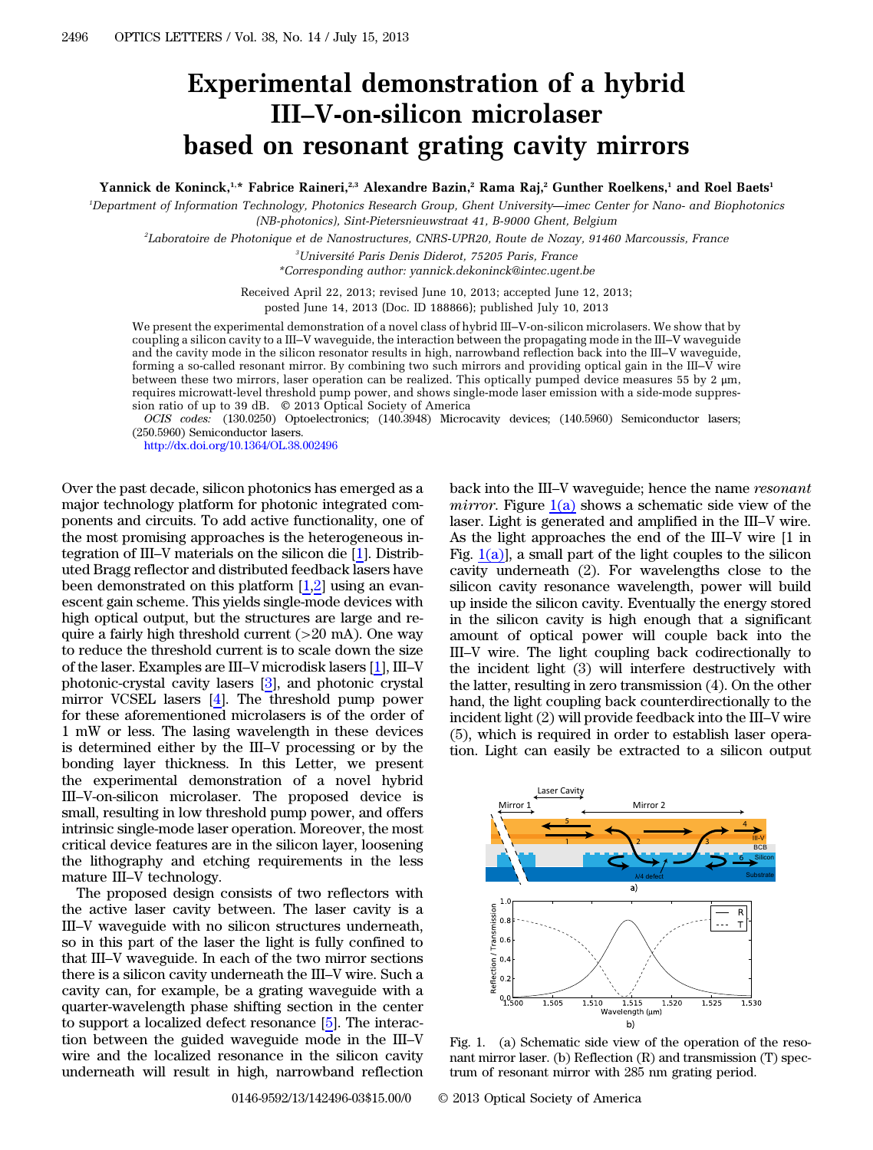## Experimental demonstration of a hybrid III*–*V-on-silicon microlaser based on resonant grating cavity mirrors

Yannick de Koninck,<sup>1,\*</sup> Fabrice Raineri,<sup>2,3</sup> Alexandre Bazin,<sup>2</sup> Rama Raj,<sup>2</sup> Gunther Roelkens,<sup>1</sup> and Roel Baets<sup>1</sup>

1 Department of Information Technology, Photonics Research Group, Ghent University*—*imec Center for Nano- and Biophotonics (NB-photonics), Sint-Pietersnieuwstraat 41, B-9000 Ghent, Belgium

2 Laboratoire de Photonique et de Nanostructures, CNRS-UPR20, Route de Nozay, 91460 Marcoussis, France

3 Université Paris Denis Diderot, 75205 Paris, France

\*Corresponding author: yannick.dekoninck@intec.ugent.be

Received April 22, 2013; revised June 10, 2013; accepted June 12, 2013;

posted June 14, 2013 (Doc. ID 188866); published July 10, 2013

We present the experimental demonstration of a novel class of hybrid III–V-on-silicon microlasers. We show that by coupling a silicon cavity to a III–V waveguide, the interaction between the propagating mode in the III–V waveguide and the cavity mode in the silicon resonator results in high, narrowband reflection back into the III–V waveguide, forming a so-called resonant mirror. By combining two such mirrors and providing optical gain in the III– $\bar{V}$  wire between these two mirrors, laser operation can be realized. This optically pumped device measures 55 by 2 μm, requires microwatt-level threshold pump power, and shows single-mode laser emission with a side-mode suppression ratio of up to 39 dB. © 2013 Optical Society of America

OCIS codes: (130.0250) Optoelectronics; (140.3948) Microcavity devices; (140.5960) Semiconductor lasers; (250.5960) Semiconductor lasers.

<http://dx.doi.org/10.1364/OL.38.002496>

Over the past decade, silicon photonics has emerged as a major technology platform for photonic integrated components and circuits. To add active functionality, one of the most promising approaches is the heterogeneous integration of III–V materials on the silicon die [\[1](#page-2-0)]. Distributed Bragg reflector and distributed feedback lasers have been demonstrated on this platform  $[1,2]$  $[1,2]$  $[1,2]$  using an evanescent gain scheme. This yields single-mode devices with high optical output, but the structures are large and require a fairly high threshold current  $(>20 \text{ mA})$ . One way to reduce the threshold current is to scale down the size of the laser. Examples are III–V microdisk lasers [\[1](#page-2-0)], III–<sup>V</sup> photonic-crystal cavity lasers [\[3](#page-2-2)], and photonic crystal mirror VCSEL lasers [\[4](#page-2-3)]. The threshold pump power for these aforementioned microlasers is of the order of 1 mW or less. The lasing wavelength in these devices is determined either by the III–V processing or by the bonding layer thickness. In this Letter, we present the experimental demonstration of a novel hybrid III–V-on-silicon microlaser. The proposed device is small, resulting in low threshold pump power, and offers intrinsic single-mode laser operation. Moreover, the most critical device features are in the silicon layer, loosening the lithography and etching requirements in the less mature III–V technology.

The proposed design consists of two reflectors with the active laser cavity between. The laser cavity is a III–V waveguide with no silicon structures underneath, so in this part of the laser the light is fully confined to that III–V waveguide. In each of the two mirror sections there is a silicon cavity underneath the III–V wire. Such a cavity can, for example, be a grating waveguide with a quarter-wavelength phase shifting section in the center to support a localized defect resonance [\[5](#page-2-4)]. The interaction between the guided waveguide mode in the III–<sup>V</sup> wire and the localized resonance in the silicon cavity underneath will result in high, narrowband reflection

back into the III–V waveguide; hence the name resonant *mirror.* Figure  $1(a)$  shows a schematic side view of the laser. Light is generated and amplified in the III–V wire. As the light approaches the end of the III–V wire [1 in Fig.  $1(a)$ , a small part of the light couples to the silicon cavity underneath (2). For wavelengths close to the silicon cavity resonance wavelength, power will build up inside the silicon cavity. Eventually the energy stored in the silicon cavity is high enough that a significant amount of optical power will couple back into the III–V wire. The light coupling back codirectionally to the incident light (3) will interfere destructively with the latter, resulting in zero transmission (4). On the other hand, the light coupling back counterdirectionally to the incident light (2) will provide feedback into the III–V wire (5), which is required in order to establish laser operation. Light can easily be extracted to a silicon output

<span id="page-0-0"></span>

Fig. 1. (a) Schematic side view of the operation of the resonant mirror laser. (b) Reflection (R) and transmission (T) spectrum of resonant mirror with 285 nm grating period.

0146-9592/13/142496-03\$15.00/0 © 2013 Optical Society of America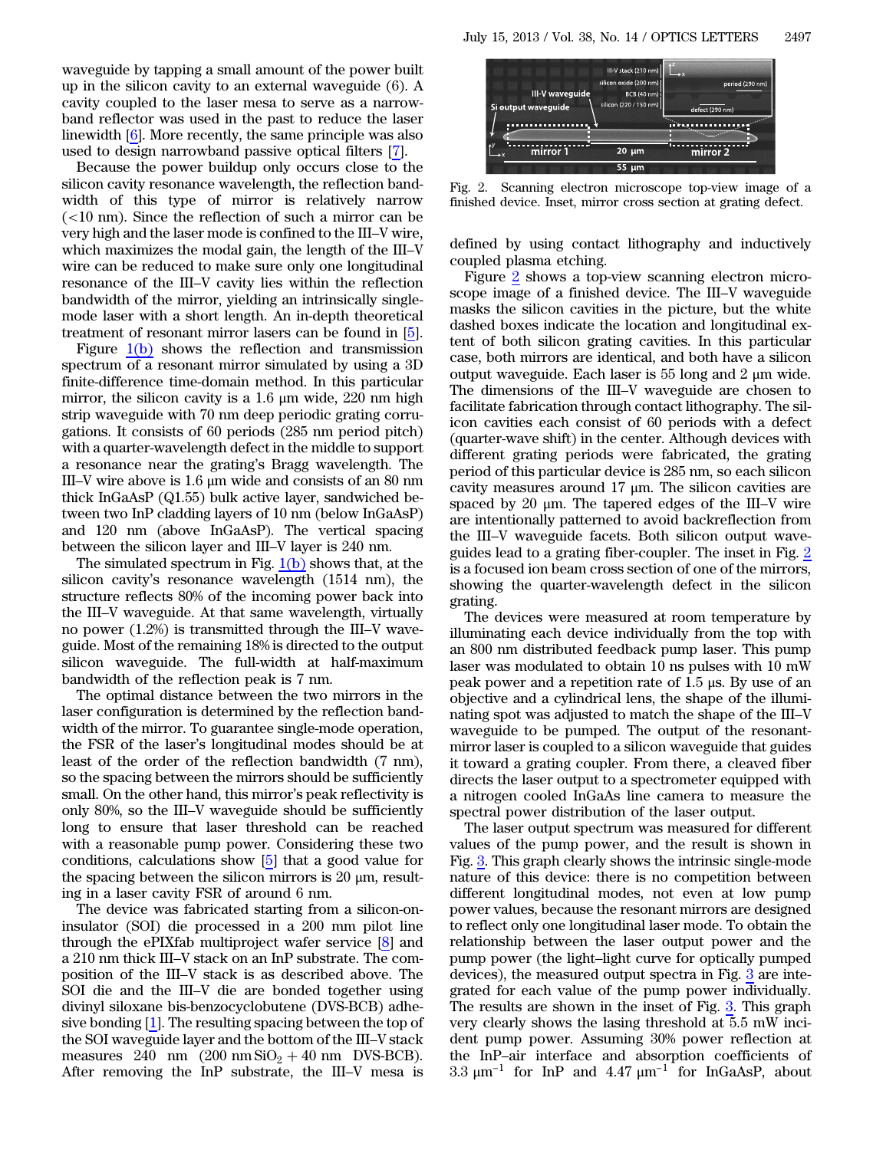waveguide by tapping a small amount of the power built up in the silicon cavity to an external waveguide (6). A cavity coupled to the laser mesa to serve as a narrowband reflector was used in the past to reduce the laser linewidth [[6\]](#page-2-5). More recently, the same principle was also used to design narrowband passive optical filters [\[7](#page-2-6)].

Because the power buildup only occurs close to the silicon cavity resonance wavelength, the reflection bandwidth of this type of mirror is relatively narrow  $\epsilon$  (<10 nm). Since the reflection of such a mirror can be very high and the laser mode is confined to the III–V wire, which maximizes the modal gain, the length of the III–<sup>V</sup> wire can be reduced to make sure only one longitudinal resonance of the III–V cavity lies within the reflection bandwidth of the mirror, yielding an intrinsically singlemode laser with a short length. An in-depth theoretical treatment of resonant mirror lasers can be found in [\[5](#page-2-4)].

Figure [1\(b\)](#page-0-0) shows the reflection and transmission spectrum of a resonant mirror simulated by using a 3D finite-difference time-domain method. In this particular mirror, the silicon cavity is a 1.6  $\mu$ m wide, 220 nm high strip waveguide with 70 nm deep periodic grating corrugations. It consists of 60 periods (285 nm period pitch) with a quarter-wavelength defect in the middle to support a resonance near the grating's Bragg wavelength. The III–V wire above is 1.6 <sup>μ</sup>m wide and consists of an 80 nm thick InGaAsP (Q1.55) bulk active layer, sandwiched between two InP cladding layers of 10 nm (below InGaAsP) and 120 nm (above InGaAsP). The vertical spacing between the silicon layer and III–V layer is 240 nm.

The simulated spectrum in Fig.  $1(b)$  shows that, at the silicon cavity's resonance wavelength (1514 nm), the structure reflects 80% of the incoming power back into the III–V waveguide. At that same wavelength, virtually no power (1.2%) is transmitted through the III–V waveguide. Most of the remaining 18% is directed to the output silicon waveguide. The full-width at half-maximum bandwidth of the reflection peak is 7 nm.

The optimal distance between the two mirrors in the laser configuration is determined by the reflection bandwidth of the mirror. To guarantee single-mode operation, the FSR of the laser's longitudinal modes should be at least of the order of the reflection bandwidth (7 nm), so the spacing between the mirrors should be sufficiently small. On the other hand, this mirror's peak reflectivity is only 80%, so the III–V waveguide should be sufficiently long to ensure that laser threshold can be reached with a reasonable pump power. Considering these two conditions, calculations show [[5\]](#page-2-4) that a good value for the spacing between the silicon mirrors is 20  $\mu$ m, resulting in a laser cavity FSR of around 6 nm.

The device was fabricated starting from a silicon-oninsulator (SOI) die processed in a 200 mm pilot line through the ePIXfab multiproject wafer service [[8\]](#page-2-7) and a 210 nm thick III–V stack on an InP substrate. The composition of the III–V stack is as described above. The SOI die and the III–V die are bonded together using divinyl siloxane bis-benzocyclobutene (DVS-BCB) adhesive bonding [[1\]](#page-2-0). The resulting spacing between the top of the SOI waveguide layer and the bottom of the III–V stack measures 240 nm  $(200 \text{ nm SiO}_2 + 40 \text{ nm DVS-BCB}).$ After removing the InP substrate, the III–V mesa is

<span id="page-1-0"></span>

Fig. 2. Scanning electron microscope top-view image of a finished device. Inset, mirror cross section at grating defect.

defined by using contact lithography and inductively coupled plasma etching.

Figure [2](#page-1-0) shows a top-view scanning electron microscope image of a finished device. The III–V waveguide masks the silicon cavities in the picture, but the white dashed boxes indicate the location and longitudinal extent of both silicon grating cavities. In this particular case, both mirrors are identical, and both have a silicon output waveguide. Each laser is 55 long and 2 μm wide. The dimensions of the III–V waveguide are chosen to facilitate fabrication through contact lithography. The silicon cavities each consist of 60 periods with a defect (quarter-wave shift) in the center. Although devices with different grating periods were fabricated, the grating period of this particular device is 285 nm, so each silicon cavity measures around 17 μm. The silicon cavities are spaced by 20 <sup>μ</sup>m. The tapered edges of the III–V wire are intentionally patterned to avoid backreflection from the III–V waveguide facets. Both silicon output waveguides lead to a grating fiber-coupler. The inset in Fig. [2](#page-1-0) is a focused ion beam cross section of one of the mirrors, showing the quarter-wavelength defect in the silicon grating.

The devices were measured at room temperature by illuminating each device individually from the top with an 800 nm distributed feedback pump laser. This pump laser was modulated to obtain 10 ns pulses with 10 mW peak power and a repetition rate of 1.5 μs. By use of an objective and a cylindrical lens, the shape of the illuminating spot was adjusted to match the shape of the III–<sup>V</sup> waveguide to be pumped. The output of the resonantmirror laser is coupled to a silicon waveguide that guides it toward a grating coupler. From there, a cleaved fiber directs the laser output to a spectrometer equipped with a nitrogen cooled InGaAs line camera to measure the spectral power distribution of the laser output.

The laser output spectrum was measured for different values of the pump power, and the result is shown in Fig. [3.](#page-2-8) This graph clearly shows the intrinsic single-mode nature of this device: there is no competition between different longitudinal modes, not even at low pump power values, because the resonant mirrors are designed to reflect only one longitudinal laser mode. To obtain the relationship between the laser output power and the pump power (the light–light curve for optically pumped devices), the measured output spectra in Fig. [3](#page-2-8) are integrated for each value of the pump power individually. The results are shown in the inset of Fig. [3.](#page-2-8) This graph very clearly shows the lasing threshold at 5.5 mW incident pump power. Assuming 30% power reflection at the InP–air interface and absorption coefficients of 3.3  $\mu$ m<sup>-1</sup> for InP and 4.47  $\mu$ m<sup>-1</sup> for InGaAsP, about